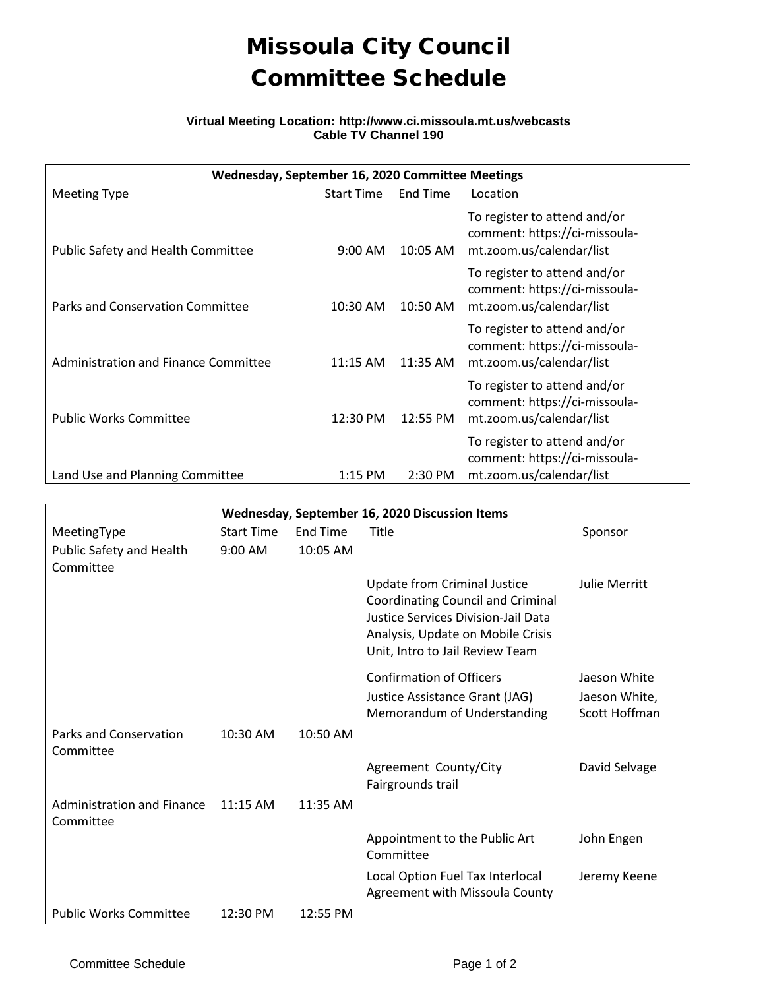## Missoula City Council Committee Schedule

## **Virtual Meeting Location: http://www.ci.missoula.mt.us/webcasts Cable TV Channel 190**

| Wednesday, September 16, 2020 Committee Meetings |                   |          |                                                                                           |  |  |  |  |  |  |
|--------------------------------------------------|-------------------|----------|-------------------------------------------------------------------------------------------|--|--|--|--|--|--|
| <b>Meeting Type</b>                              | <b>Start Time</b> | End Time | Location                                                                                  |  |  |  |  |  |  |
| Public Safety and Health Committee               | $9:00$ AM         | 10:05 AM | To register to attend and/or<br>comment: https://ci-missoula-<br>mt.zoom.us/calendar/list |  |  |  |  |  |  |
| Parks and Conservation Committee                 | $10:30$ AM        | 10:50 AM | To register to attend and/or<br>comment: https://ci-missoula-<br>mt.zoom.us/calendar/list |  |  |  |  |  |  |
| Administration and Finance Committee             | 11:15 AM          | 11:35 AM | To register to attend and/or<br>comment: https://ci-missoula-<br>mt.zoom.us/calendar/list |  |  |  |  |  |  |
| <b>Public Works Committee</b>                    | 12:30 PM          | 12:55 PM | To register to attend and/or<br>comment: https://ci-missoula-<br>mt.zoom.us/calendar/list |  |  |  |  |  |  |
| Land Use and Planning Committee                  | $1:15$ PM         | 2:30 PM  | To register to attend and/or<br>comment: https://ci-missoula-<br>mt.zoom.us/calendar/list |  |  |  |  |  |  |

| Wednesday, September 16, 2020 Discussion Items |                   |                 |                                                                                                                                                                                         |               |  |  |  |  |  |
|------------------------------------------------|-------------------|-----------------|-----------------------------------------------------------------------------------------------------------------------------------------------------------------------------------------|---------------|--|--|--|--|--|
| MeetingType                                    | <b>Start Time</b> | <b>End Time</b> | Title                                                                                                                                                                                   | Sponsor       |  |  |  |  |  |
| Public Safety and Health                       | $9:00$ AM         | 10:05 AM        |                                                                                                                                                                                         |               |  |  |  |  |  |
| Committee                                      |                   |                 |                                                                                                                                                                                         |               |  |  |  |  |  |
|                                                |                   |                 | Update from Criminal Justice<br>Coordinating Council and Criminal<br><b>Justice Services Division-Jail Data</b><br>Analysis, Update on Mobile Crisis<br>Unit, Intro to Jail Review Team | Julie Merritt |  |  |  |  |  |
|                                                |                   |                 | <b>Confirmation of Officers</b>                                                                                                                                                         | Jaeson White  |  |  |  |  |  |
|                                                |                   |                 | Justice Assistance Grant (JAG)                                                                                                                                                          | Jaeson White, |  |  |  |  |  |
|                                                |                   |                 | Memorandum of Understanding                                                                                                                                                             | Scott Hoffman |  |  |  |  |  |
| <b>Parks and Conservation</b><br>Committee     | 10:30 AM          | 10:50 AM        |                                                                                                                                                                                         |               |  |  |  |  |  |
|                                                |                   |                 | Agreement County/City<br>Fairgrounds trail                                                                                                                                              | David Selvage |  |  |  |  |  |
| Administration and Finance<br>Committee        | $11:15$ AM        | $11:35$ AM      |                                                                                                                                                                                         |               |  |  |  |  |  |
|                                                |                   |                 | Appointment to the Public Art<br>Committee                                                                                                                                              | John Engen    |  |  |  |  |  |
|                                                |                   |                 | Local Option Fuel Tax Interlocal<br>Agreement with Missoula County                                                                                                                      | Jeremy Keene  |  |  |  |  |  |
| <b>Public Works Committee</b>                  | 12:30 PM          | 12:55 PM        |                                                                                                                                                                                         |               |  |  |  |  |  |